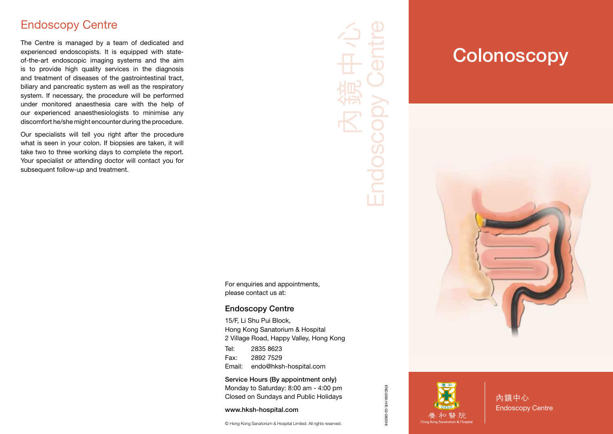#### Endoscopy Centre

The Centre is managed by a team of dedicated and experienced endoscopists. It is equipped with stateof-the-art endoscopic imaging systems and the aim is to provide high quality services in the diagnosis and treatment of diseases of the gastrointestinal tract, biliary and pancreatic system as well as the respiratory system. If necessary, the procedure will be performed under monitored anaesthesia care with the help of our experienced anaesthesiologists to minimise any discomfort he/she might encounter during the procedure.

Our specialists will tell you right after the procedure what is seen in your colon. If biopsies are taken, it will take two to three working days to complete the report. Your specialist or attending doctor will contact you for subsequent follow-up and treatment.

# Endoscopy Centre 內鏡中心 **Endosco**

For enquiries and appointments, please contact us at:

#### Endoscopy Centre

15/F, Li Shu Pui Block, Hong Kong Sanatorium & Hospital 2 Village Road, Happy Valley, Hong Kong Tel: 2835 8623

Fax: 2892 7529 Email: endo@hksh-hospital.com

Service Hours (By appointment only) Monday to Saturday: 8:00 am - 4:00 pm Closed on Sundays and Public Holidays

www.hksh-hospital.com

© Hong Kong Sanatorium & Hospital Limited. All rights reserved.

## **Colonoscopy**





END.006I.H/E-02-082016

END.006I.H/E-02-082016

內鏡中心 Endoscopy Centre